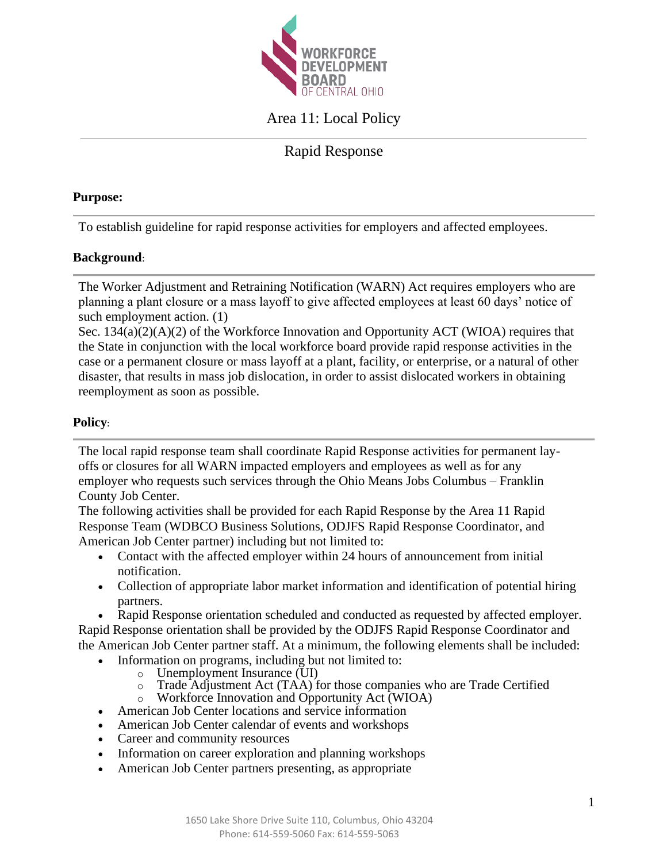

# Area 11: Local Policy

# Rapid Response

#### **Purpose:**

To establish guideline for rapid response activities for employers and affected employees.

# **Background**:

The Worker Adjustment and Retraining Notification (WARN) Act requires employers who are planning a plant closure or a mass layoff to give affected employees at least 60 days' notice of such employment action. (1)

Sec.  $134(a)(2)(A)(2)$  of the Workforce Innovation and Opportunity ACT (WIOA) requires that the State in conjunction with the local workforce board provide rapid response activities in the case or a permanent closure or mass layoff at a plant, facility, or enterprise, or a natural of other disaster, that results in mass job dislocation, in order to assist dislocated workers in obtaining reemployment as soon as possible.

### **Policy**:

The local rapid response team shall coordinate Rapid Response activities for permanent layoffs or closures for all WARN impacted employers and employees as well as for any employer who requests such services through the Ohio Means Jobs Columbus – Franklin County Job Center.

The following activities shall be provided for each Rapid Response by the Area 11 Rapid Response Team (WDBCO Business Solutions, ODJFS Rapid Response Coordinator, and American Job Center partner) including but not limited to:

- Contact with the affected employer within 24 hours of announcement from initial notification.
- Collection of appropriate labor market information and identification of potential hiring partners.

• Rapid Response orientation scheduled and conducted as requested by affected employer. Rapid Response orientation shall be provided by the ODJFS Rapid Response Coordinator and the American Job Center partner staff. At a minimum, the following elements shall be included:

- Information on programs, including but not limited to:
	- o Unemployment Insurance (UI)
	- o Trade Adjustment Act (TAA) for those companies who are Trade Certified
- o Workforce Innovation and Opportunity Act (WIOA)
- American Job Center locations and service information
- American Job Center calendar of events and workshops
- Career and community resources
- Information on career exploration and planning workshops
- American Job Center partners presenting, as appropriate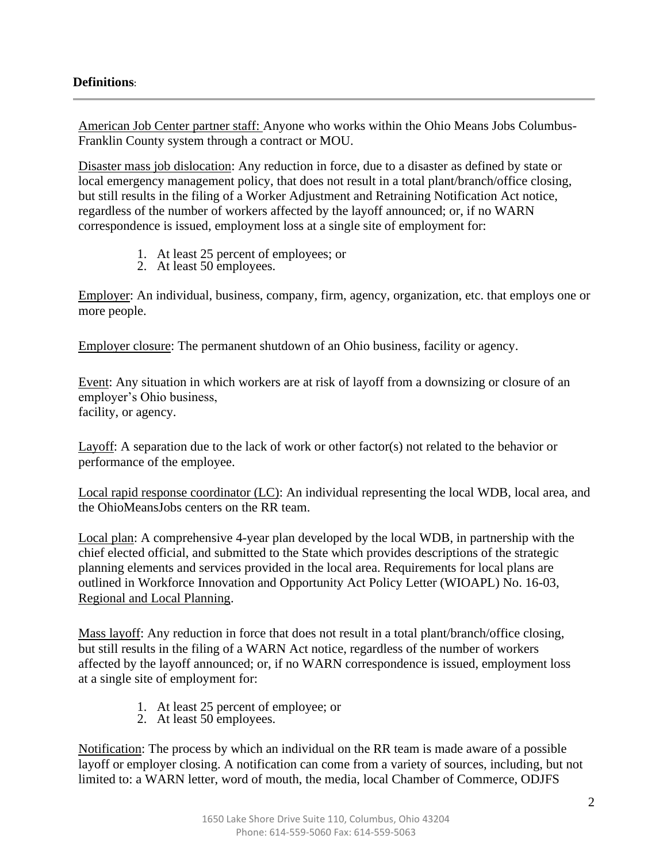## **Definitions**:

American Job Center partner staff: Anyone who works within the Ohio Means Jobs Columbus-Franklin County system through a contract or MOU.

Disaster mass job dislocation: Any reduction in force, due to a disaster as defined by state or local emergency management policy, that does not result in a total plant/branch/office closing, but still results in the filing of a Worker Adjustment and Retraining Notification Act notice, regardless of the number of workers affected by the layoff announced; or, if no WARN correspondence is issued, employment loss at a single site of employment for:

- 1. At least 25 percent of employees; or
- 2. At least 50 employees.

Employer: An individual, business, company, firm, agency, organization, etc. that employs one or more people.

Employer closure: The permanent shutdown of an Ohio business, facility or agency.

Event: Any situation in which workers are at risk of layoff from a downsizing or closure of an employer's Ohio business, facility, or agency.

Layoff: A separation due to the lack of work or other factor(s) not related to the behavior or performance of the employee.

Local rapid response coordinator (LC): An individual representing the local WDB, local area, and the OhioMeansJobs centers on the RR team.

Local plan: A comprehensive 4-year plan developed by the local WDB, in partnership with the chief elected official, and submitted to the State which provides descriptions of the strategic planning elements and services provided in the local area. Requirements for local plans are outlined in Workforce Innovation and Opportunity Act Policy Letter (WIOAPL) No. 16-03, Regional and Local Planning.

Mass layoff: Any reduction in force that does not result in a total plant/branch/office closing, but still results in the filing of a WARN Act notice, regardless of the number of workers affected by the layoff announced; or, if no WARN correspondence is issued, employment loss at a single site of employment for:

- 1. At least 25 percent of employee; or
- 2. At least 50 employees.

Notification: The process by which an individual on the RR team is made aware of a possible layoff or employer closing. A notification can come from a variety of sources, including, but not limited to: a WARN letter, word of mouth, the media, local Chamber of Commerce, ODJFS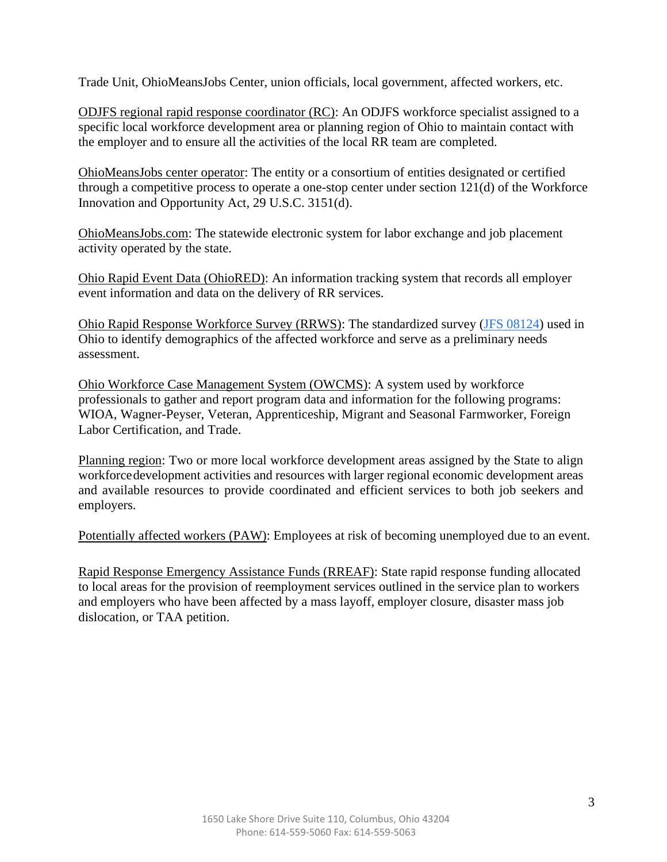Trade Unit, OhioMeansJobs Center, union officials, local government, affected workers, etc.

ODJFS regional rapid response coordinator (RC): An ODJFS workforce specialist assigned to a specific local workforce development area or planning region of Ohio to maintain contact with the employer and to ensure all the activities of the local RR team are completed.

OhioMeansJobs center operator: The entity or a consortium of entities designated or certified through a competitive process to operate a one-stop center under section 121(d) of the Workforce Innovation and Opportunity Act, 29 U.S.C. 3151(d).

OhioMeansJobs.com: The statewide electronic system for labor exchange and job placement activity operated by the state.

Ohio Rapid Event Data (OhioRED): An information tracking system that records all employer event information and data on the delivery of RR services.

Ohio Rapid Response Workforce Survey (RRWS): The standardized survey [\(JFS 08124\)](http://www.odjfs.state.oh.us/forms/num/JFS08124) used in Ohio to identify demographics of the affected workforce and serve as a preliminary needs assessment.

Ohio Workforce Case Management System (OWCMS): A system used by workforce professionals to gather and report program data and information for the following programs: WIOA, Wagner-Peyser, Veteran, Apprenticeship, Migrant and Seasonal Farmworker, Foreign Labor Certification, and Trade.

Planning region: Two or more local workforce development areas assigned by the State to align workforcedevelopment activities and resources with larger regional economic development areas and available resources to provide coordinated and efficient services to both job seekers and employers.

Potentially affected workers (PAW): Employees at risk of becoming unemployed due to an event.

Rapid Response Emergency Assistance Funds (RREAF): State rapid response funding allocated to local areas for the provision of reemployment services outlined in the service plan to workers and employers who have been affected by a mass layoff, employer closure, disaster mass job dislocation, or TAA petition.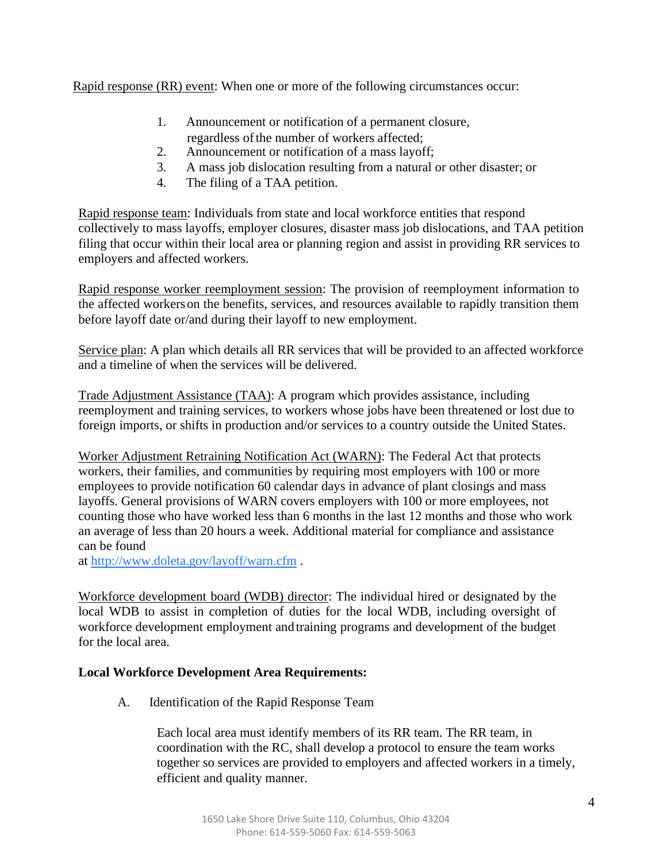Rapid response (RR) event: When one or more of the following circumstances occur:

- 1. Announcement or notification of a permanent closure,
- regardless of the number of workers affected;
- 2. Announcement or notification of a mass layoff;
- 3. A mass job dislocation resulting from a natural or other disaster; or
- 4. The filing of a TAA petition.

Rapid response team: Individuals from state and local workforce entities that respond collectively to mass layoffs, employer closures, disaster mass job dislocations, and TAA petition filing that occur within their local area or planning region and assist in providing RR services to employers and affected workers.

Rapid response worker reemployment session: The provision of reemployment information to the affected workerson the benefits, services, and resources available to rapidly transition them before layoff date or/and during their layoff to new employment.

Service plan: A plan which details all RR services that will be provided to an affected workforce and a timeline of when the services will be delivered.

Trade Adjustment Assistance (TAA): A program which provides assistance, including reemployment and training services, to workers whose jobs have been threatened or lost due to foreign imports, or shifts in production and/or services to a country outside the United States.

Worker Adjustment Retraining Notification Act (WARN): The Federal Act that protects workers, their families, and communities by requiring most employers with 100 or more employees to provide notification 60 calendar days in advance of plant closings and mass layoffs. General provisions of WARN covers employers with 100 or more employees, not counting those who have worked less than 6 months in the last 12 months and those who work an average of less than 20 hours a week. Additional material for compliance and assistance can be found

at<http://www.doleta.gov/layoff/warn.cfm> .

Workforce development board (WDB) director: The individual hired or designated by the local WDB to assist in completion of duties for the local WDB, including oversight of workforce development employment and training programs and development of the budget for the local area.

# **Local Workforce Development Area Requirements:**

A. Identification of the Rapid Response Team

Each local area must identify members of its RR team. The RR team, in coordination with the RC, shall develop a protocol to ensure the team works together so services are provided to employers and affected workers in a timely, efficient and quality manner.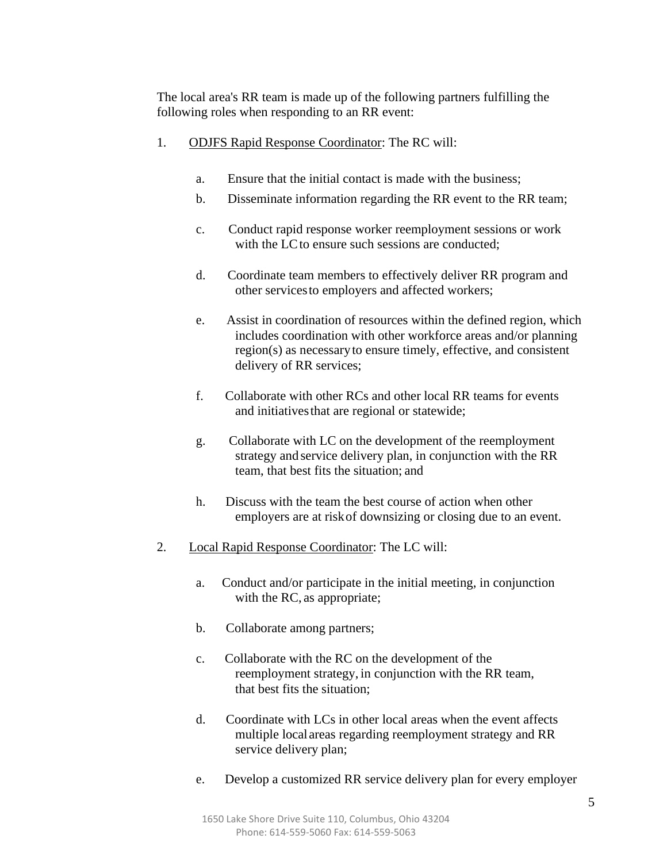The local area's RR team is made up of the following partners fulfilling the following roles when responding to an RR event:

- 1. ODJFS Rapid Response Coordinator: The RC will:
	- a. Ensure that the initial contact is made with the business;
	- b. Disseminate information regarding the RR event to the RR team;
	- c. Conduct rapid response worker reemployment sessions or work with the LC to ensure such sessions are conducted:
	- d. Coordinate team members to effectively deliver RR program and other servicesto employers and affected workers;
	- e. Assist in coordination of resources within the defined region, which includes coordination with other workforce areas and/or planning region(s) as necessaryto ensure timely, effective, and consistent delivery of RR services;
	- f. Collaborate with other RCs and other local RR teams for events and initiativesthat are regional or statewide;
	- g. Collaborate with LC on the development of the reemployment strategy and service delivery plan, in conjunction with the RR team, that best fits the situation; and
	- h. Discuss with the team the best course of action when other employers are at riskof downsizing or closing due to an event.
- 2. Local Rapid Response Coordinator: The LC will:
	- a. Conduct and/or participate in the initial meeting, in conjunction with the RC, as appropriate;
	- b. Collaborate among partners;
	- c. Collaborate with the RC on the development of the reemployment strategy, in conjunction with the RR team, that best fits the situation;
	- d. Coordinate with LCs in other local areas when the event affects multiple local areas regarding reemployment strategy and RR service delivery plan;
	- e. Develop a customized RR service delivery plan for every employer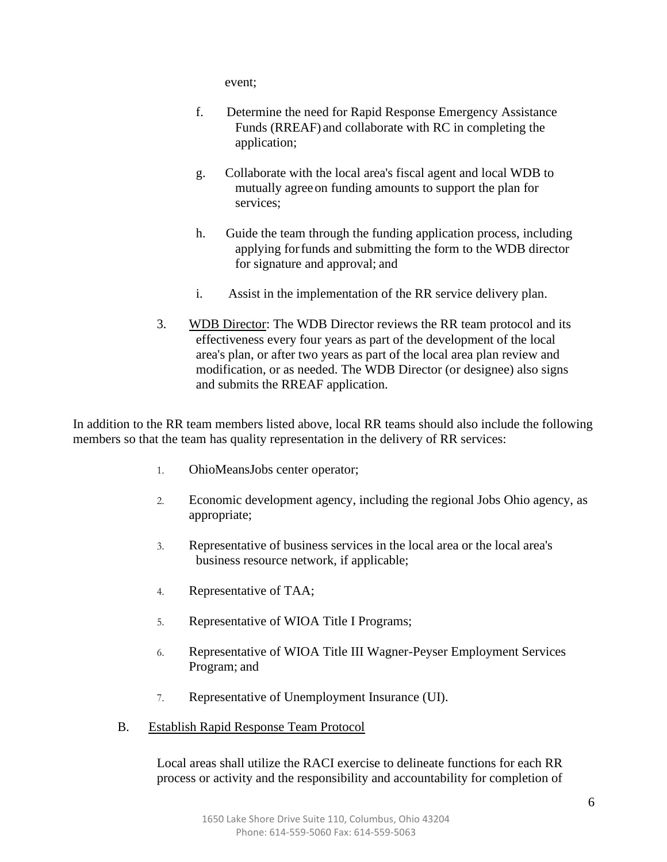event;

- f. Determine the need for Rapid Response Emergency Assistance Funds (RREAF) and collaborate with RC in completing the application;
- g. Collaborate with the local area's fiscal agent and local WDB to mutually agreeon funding amounts to support the plan for services;
- h. Guide the team through the funding application process, including applying forfunds and submitting the form to the WDB director for signature and approval; and
- i. Assist in the implementation of the RR service delivery plan.
- 3. WDB Director: The WDB Director reviews the RR team protocol and its effectiveness every four years as part of the development of the local area's plan, or after two years as part of the local area plan review and modification, or as needed. The WDB Director (or designee) also signs and submits the RREAF application.

In addition to the RR team members listed above, local RR teams should also include the following members so that the team has quality representation in the delivery of RR services:

- 1. OhioMeansJobs center operator;
- 2. Economic development agency, including the regional Jobs Ohio agency, as appropriate;
- 3. Representative of business services in the local area or the local area's business resource network, if applicable;
- 4. Representative of TAA;
- 5. Representative of WIOA Title I Programs;
- 6. Representative of WIOA Title III Wagner-Peyser Employment Services Program; and
- 7. Representative of Unemployment Insurance (UI).
- B. Establish Rapid Response Team Protocol

Local areas shall utilize the RACI exercise to delineate functions for each RR process or activity and the responsibility and accountability for completion of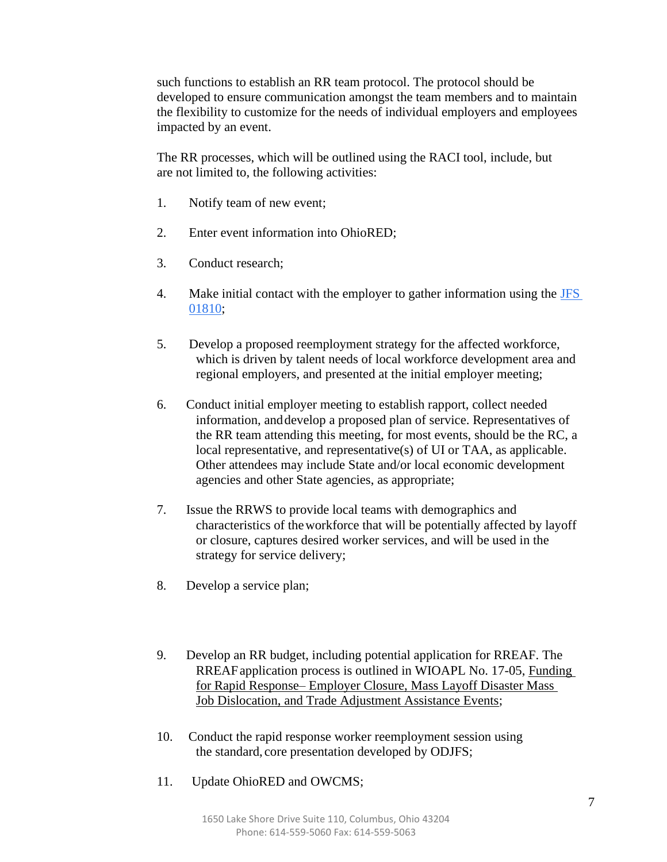such functions to establish an RR team protocol. The protocol should be developed to ensure communication amongst the team members and to maintain the flexibility to customize for the needs of individual employers and employees impacted by an event.

The RR processes, which will be outlined using the RACI tool, include, but are not limited to, the following activities:

- 1. Notify team of new event;
- 2. Enter event information into OhioRED;
- 3. Conduct research;
- 4. Make initial contact with the employer to gather information using the [JFS](http://www.odjfs.state.oh.us/forms/num/JFS01810) [01810;](http://www.odjfs.state.oh.us/forms/num/JFS01810)
- 5. Develop a proposed reemployment strategy for the affected workforce, which is driven by talent needs of local workforce development area and regional employers, and presented at the initial employer meeting;
- 6. Conduct initial employer meeting to establish rapport, collect needed information, anddevelop a proposed plan of service. Representatives of the RR team attending this meeting, for most events, should be the RC, a local representative, and representative(s) of UI or TAA, as applicable. Other attendees may include State and/or local economic development agencies and other State agencies, as appropriate;
- 7. Issue the RRWS to provide local teams with demographics and characteristics of theworkforce that will be potentially affected by layoff or closure, captures desired worker services, and will be used in the strategy for service delivery;
- 8. Develop a service plan;
- 9. Develop an RR budget, including potential application for RREAF. The RREAFapplication process is outlined in WIOAPL No. 17-05, Funding for Rapid Response– Employer Closure, Mass Layoff Disaster Mass Job Dislocation, and Trade Adjustment Assistance Events;
- 10. Conduct the rapid response worker reemployment session using the standard, core presentation developed by ODJFS;
- 11. Update OhioRED and OWCMS;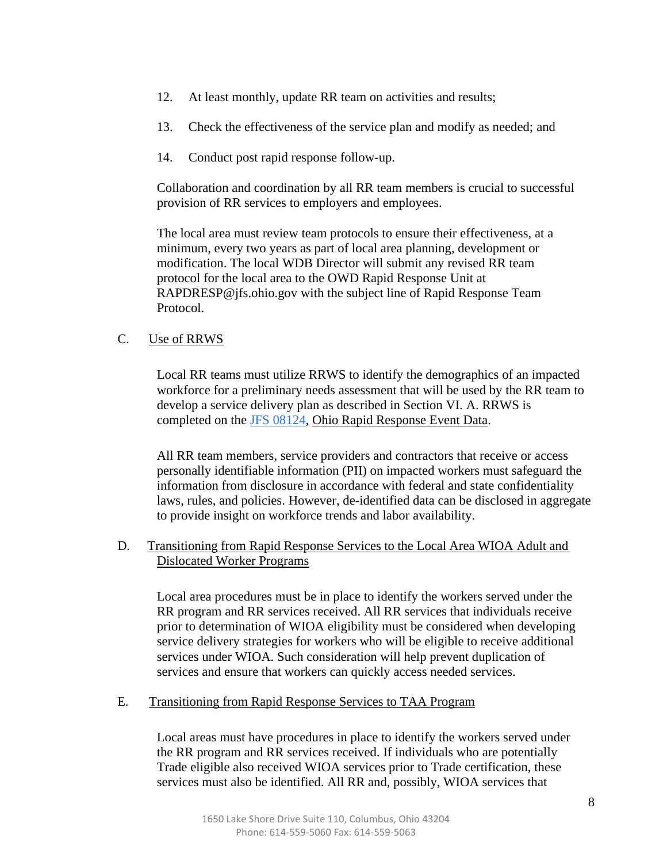- 12. At least monthly, update RR team on activities and results;
- 13. Check the effectiveness of the service plan and modify as needed; and
- 14. Conduct post rapid response follow-up.

Collaboration and coordination by all RR team members is crucial to successful provision of RR services to employers and employees.

The local area must review team protocols to ensure their effectiveness, at a minimum, every two years as part of local area planning, development or modification. The local WDB Director will submit any revised RR team protocol for the local area to the OWD Rapid Response Unit at [RAPDRESP@jfs.ohio.gov w](mailto:RAPDRESP@jfs.ohio.gov)ith the subject line of Rapid Response Team Protocol.

# C. Use of RRWS

Local RR teams must utilize RRWS to identify the demographics of an impacted workforce for a preliminary needs assessment that will be used by the RR team to develop a service delivery plan as described in Section VI. A. RRWS is completed on the [JFS 08124, O](http://www.odjfs.state.oh.us/forms/num/JFS08124)hio Rapid Response Event Data.

All RR team members, service providers and contractors that receive or access personally identifiable information (PII) on impacted workers must safeguard the information from disclosure in accordance with federal and state confidentiality laws, rules, and policies. However, de-identified data can be disclosed in aggregate to provide insight on workforce trends and labor availability.

D. Transitioning from Rapid Response Services to the Local Area WIOA Adult and Dislocated Worker Programs

Local area procedures must be in place to identify the workers served under the RR program and RR services received. All RR services that individuals receive prior to determination of WIOA eligibility must be considered when developing service delivery strategies for workers who will be eligible to receive additional services under WIOA. Such consideration will help prevent duplication of services and ensure that workers can quickly access needed services.

#### E. Transitioning from Rapid Response Services to TAA Program

Local areas must have procedures in place to identify the workers served under the RR program and RR services received. If individuals who are potentially Trade eligible also received WIOA services prior to Trade certification, these services must also be identified. All RR and, possibly, WIOA services that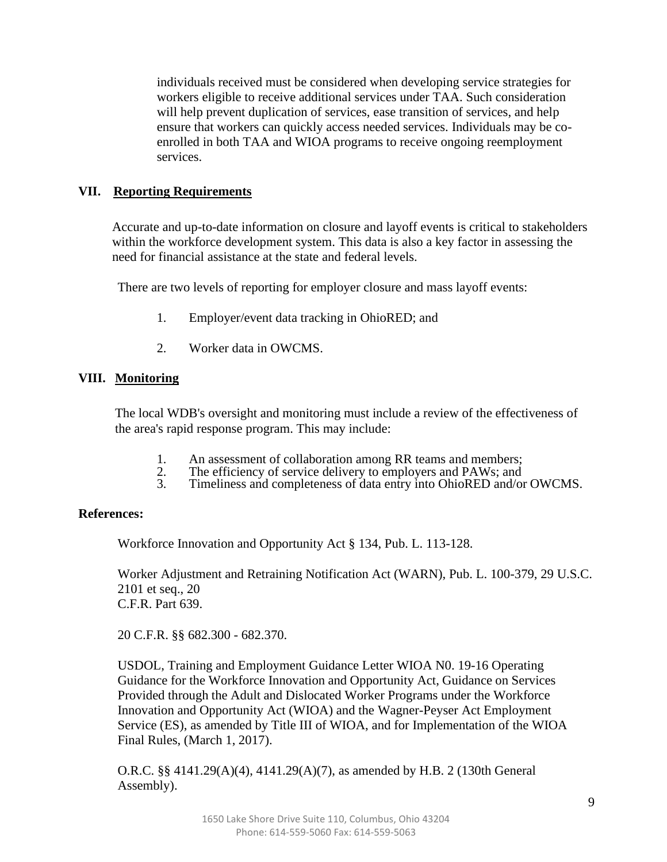individuals received must be considered when developing service strategies for workers eligible to receive additional services under TAA. Such consideration will help prevent duplication of services, ease transition of services, and help ensure that workers can quickly access needed services. Individuals may be coenrolled in both TAA and WIOA programs to receive ongoing reemployment services.

## **VII. Reporting Requirements**

Accurate and up-to-date information on closure and layoff events is critical to stakeholders within the workforce development system. This data is also a key factor in assessing the need for financial assistance at the state and federal levels.

There are two levels of reporting for employer closure and mass layoff events:

- 1. Employer/event data tracking in OhioRED; and
- 2. Worker data in OWCMS.

### **VIII. Monitoring**

The local WDB's oversight and monitoring must include a review of the effectiveness of the area's rapid response program. This may include:

- 
- 1. An assessment of collaboration among RR teams and members;<br>2. The efficiency of service delivery to employers and PAWs; and 2. The efficiency of service delivery to employers and PAWs; and<br>3. Timeliness and completeness of data entry into ObjoRED and/or
- Timeliness and completeness of data entry into OhioRED and/or OWCMS.

#### **References:**

Workforce Innovation and Opportunity Act § 134, Pub. L. 113-128.

Worker Adjustment and Retraining Notification Act (WARN), Pub. L. 100-379, 29 U.S.C. 2101 et seq., 20 C.F.R. Part 639.

20 C.F.R. §§ 682.300 - 682.370.

USDOL, Training and Employment Guidance Letter WIOA N0. 19-16 Operating Guidance for the Workforce Innovation and Opportunity Act, Guidance on Services Provided through the Adult and Dislocated Worker Programs under the Workforce Innovation and Opportunity Act (WIOA) and the Wagner-Peyser Act Employment Service (ES), as amended by Title III of WIOA, and for Implementation of the WIOA Final Rules, (March 1, 2017).

O.R.C. §§ 4141.29(A)(4), 4141.29(A)(7), as amended by H.B. 2 (130th General Assembly).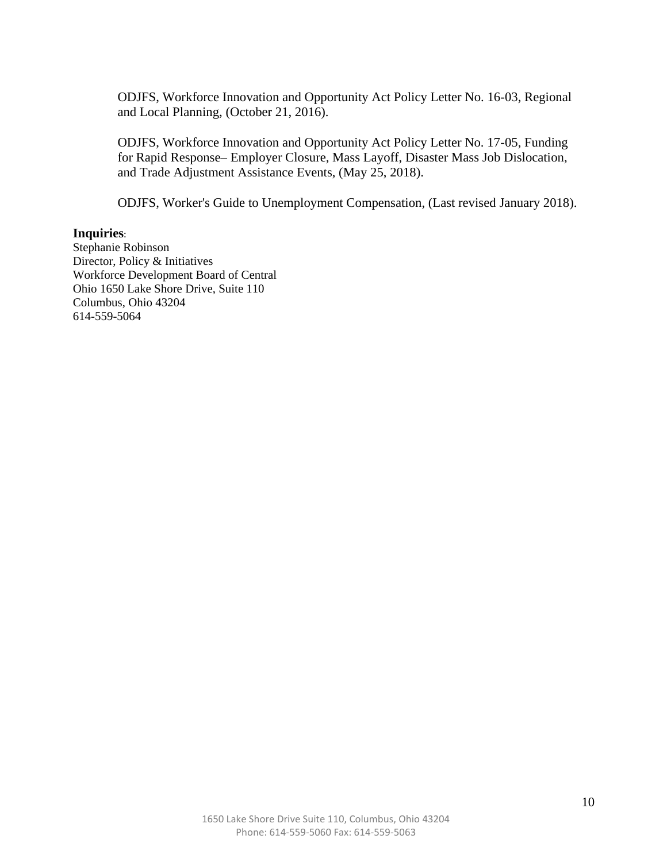ODJFS, Workforce Innovation and Opportunity Act Policy Letter No. 16-03, Regional and Local Planning, (October 21, 2016).

ODJFS, Workforce Innovation and Opportunity Act Policy Letter No. 17-05, Funding for Rapid Response– Employer Closure, Mass Layoff, Disaster Mass Job Dislocation, and Trade Adjustment Assistance Events, (May 25, 2018).

ODJFS, Worker's Guide to Unemployment Compensation, (Last revised January 2018).

#### **Inquiries**:

Stephanie Robinson Director, Policy & Initiatives Workforce Development Board of Central Ohio 1650 Lake Shore Drive, Suite 110 Columbus, Ohio 43204 614-559-5064